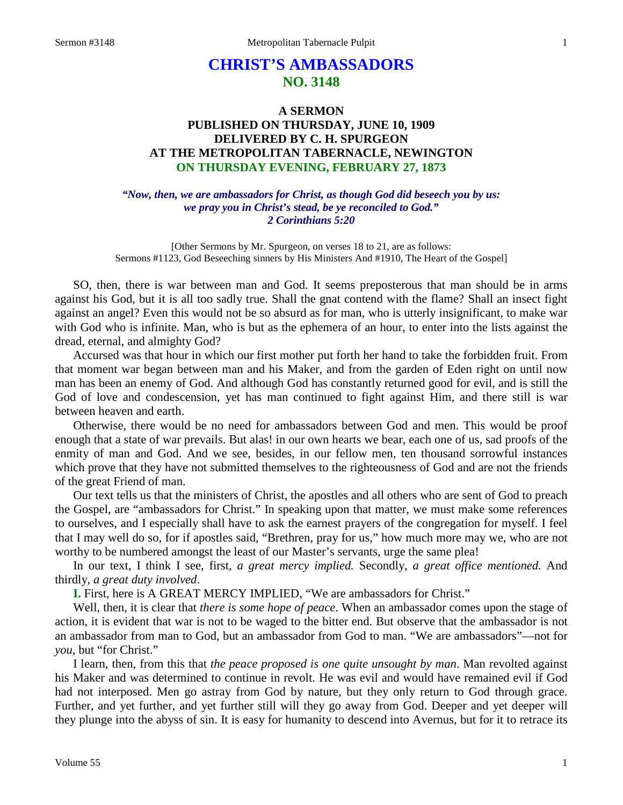# **CHRIST'S AMBASSADORS NO. 3148**

## **A SERMON PUBLISHED ON THURSDAY, JUNE 10, 1909 DELIVERED BY C. H. SPURGEON AT THE METROPOLITAN TABERNACLE, NEWINGTON ON THURSDAY EVENING, FEBRUARY 27, 1873**

*"Now, then, we are ambassadors for Christ, as though God did beseech you by us: we pray you in Christ's stead, be ye reconciled to God." 2 Corinthians 5:20*

[Other Sermons by Mr. Spurgeon, on verses 18 to 21, are as follows: Sermons #1123, God Beseeching sinners by His Ministers And #1910, The Heart of the Gospel]

SO, then, there is war between man and God. It seems preposterous that man should be in arms against his God, but it is all too sadly true. Shall the gnat contend with the flame? Shall an insect fight against an angel? Even this would not be so absurd as for man, who is utterly insignificant, to make war with God who is infinite. Man, who is but as the ephemera of an hour, to enter into the lists against the dread, eternal, and almighty God?

Accursed was that hour in which our first mother put forth her hand to take the forbidden fruit. From that moment war began between man and his Maker, and from the garden of Eden right on until now man has been an enemy of God. And although God has constantly returned good for evil, and is still the God of love and condescension, yet has man continued to fight against Him, and there still is war between heaven and earth.

Otherwise, there would be no need for ambassadors between God and men. This would be proof enough that a state of war prevails. But alas! in our own hearts we bear, each one of us, sad proofs of the enmity of man and God. And we see, besides, in our fellow men, ten thousand sorrowful instances which prove that they have not submitted themselves to the righteousness of God and are not the friends of the great Friend of man.

Our text tells us that the ministers of Christ, the apostles and all others who are sent of God to preach the Gospel, are "ambassadors for Christ." In speaking upon that matter, we must make some references to ourselves, and I especially shall have to ask the earnest prayers of the congregation for myself. I feel that I may well do so, for if apostles said, "Brethren, pray for us," how much more may we, who are not worthy to be numbered amongst the least of our Master's servants, urge the same plea!

In our text, I think I see, first, *a great mercy implied.* Secondly, *a great office mentioned.* And thirdly, *a great duty involved*.

**I.** First, here is A GREAT MERCY IMPLIED, "We are ambassadors for Christ."

Well, then, it is clear that *there is some hope of peace*. When an ambassador comes upon the stage of action, it is evident that war is not to be waged to the bitter end. But observe that the ambassador is not an ambassador from man to God, but an ambassador from God to man. "We are ambassadors"—not for *you*, but "for Christ."

I learn, then, from this that *the peace proposed is one quite unsought by man*. Man revolted against his Maker and was determined to continue in revolt. He was evil and would have remained evil if God had not interposed. Men go astray from God by nature, but they only return to God through grace. Further, and yet further, and yet further still will they go away from God. Deeper and yet deeper will they plunge into the abyss of sin. It is easy for humanity to descend into Avernus, but for it to retrace its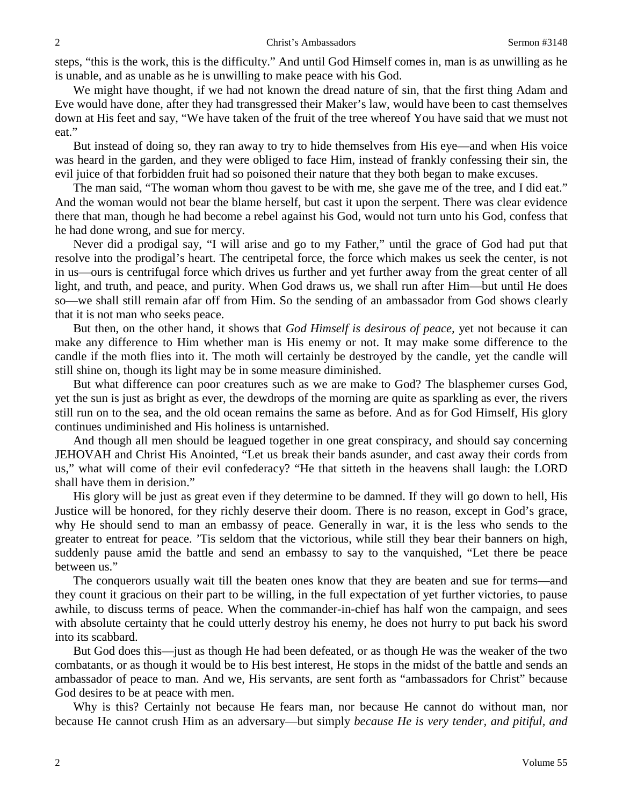steps, "this is the work, this is the difficulty." And until God Himself comes in, man is as unwilling as he is unable, and as unable as he is unwilling to make peace with his God.

We might have thought, if we had not known the dread nature of sin, that the first thing Adam and Eve would have done, after they had transgressed their Maker's law, would have been to cast themselves down at His feet and say, "We have taken of the fruit of the tree whereof You have said that we must not eat."

But instead of doing so, they ran away to try to hide themselves from His eye—and when His voice was heard in the garden, and they were obliged to face Him, instead of frankly confessing their sin, the evil juice of that forbidden fruit had so poisoned their nature that they both began to make excuses.

The man said, "The woman whom thou gavest to be with me, she gave me of the tree, and I did eat." And the woman would not bear the blame herself, but cast it upon the serpent. There was clear evidence there that man, though he had become a rebel against his God, would not turn unto his God, confess that he had done wrong, and sue for mercy.

Never did a prodigal say, "I will arise and go to my Father," until the grace of God had put that resolve into the prodigal's heart. The centripetal force, the force which makes us seek the center, is not in us—ours is centrifugal force which drives us further and yet further away from the great center of all light, and truth, and peace, and purity. When God draws us, we shall run after Him—but until He does so—we shall still remain afar off from Him. So the sending of an ambassador from God shows clearly that it is not man who seeks peace.

But then, on the other hand, it shows that *God Himself is desirous of peace,* yet not because it can make any difference to Him whether man is His enemy or not. It may make some difference to the candle if the moth flies into it. The moth will certainly be destroyed by the candle, yet the candle will still shine on, though its light may be in some measure diminished.

But what difference can poor creatures such as we are make to God? The blasphemer curses God, yet the sun is just as bright as ever, the dewdrops of the morning are quite as sparkling as ever, the rivers still run on to the sea, and the old ocean remains the same as before. And as for God Himself, His glory continues undiminished and His holiness is untarnished.

And though all men should be leagued together in one great conspiracy, and should say concerning JEHOVAH and Christ His Anointed, "Let us break their bands asunder, and cast away their cords from us," what will come of their evil confederacy? "He that sitteth in the heavens shall laugh: the LORD shall have them in derision."

His glory will be just as great even if they determine to be damned. If they will go down to hell, His Justice will be honored, for they richly deserve their doom. There is no reason, except in God's grace, why He should send to man an embassy of peace. Generally in war, it is the less who sends to the greater to entreat for peace. 'Tis seldom that the victorious, while still they bear their banners on high, suddenly pause amid the battle and send an embassy to say to the vanquished, "Let there be peace between us."

The conquerors usually wait till the beaten ones know that they are beaten and sue for terms—and they count it gracious on their part to be willing, in the full expectation of yet further victories, to pause awhile, to discuss terms of peace. When the commander-in-chief has half won the campaign, and sees with absolute certainty that he could utterly destroy his enemy, he does not hurry to put back his sword into its scabbard.

But God does this—just as though He had been defeated, or as though He was the weaker of the two combatants, or as though it would be to His best interest, He stops in the midst of the battle and sends an ambassador of peace to man. And we, His servants, are sent forth as "ambassadors for Christ" because God desires to be at peace with men.

Why is this? Certainly not because He fears man, nor because He cannot do without man, nor because He cannot crush Him as an adversary—but simply *because He is very tender, and pitiful, and*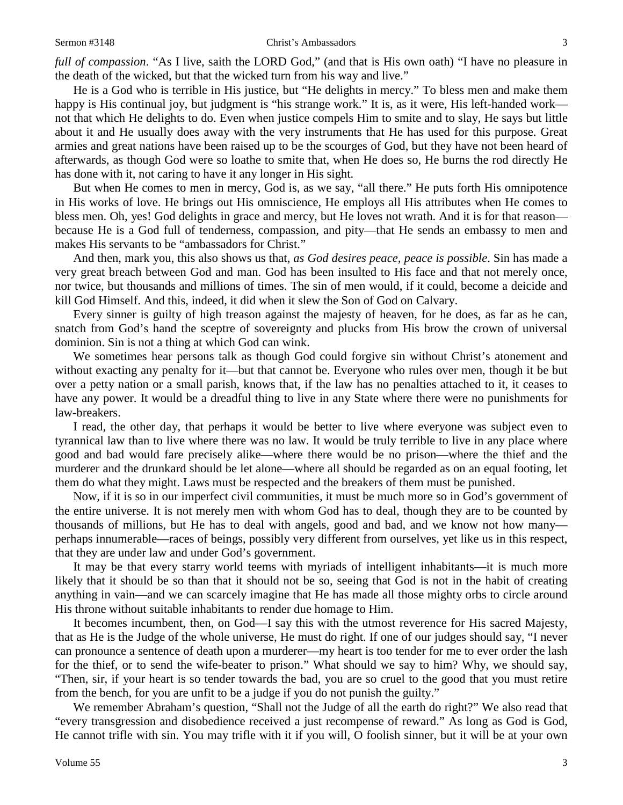*full of compassion*. "As I live, saith the LORD God," (and that is His own oath) "I have no pleasure in the death of the wicked, but that the wicked turn from his way and live."

He is a God who is terrible in His justice, but "He delights in mercy." To bless men and make them happy is His continual joy, but judgment is "his strange work." It is, as it were, His left-handed work not that which He delights to do. Even when justice compels Him to smite and to slay, He says but little about it and He usually does away with the very instruments that He has used for this purpose. Great armies and great nations have been raised up to be the scourges of God, but they have not been heard of afterwards, as though God were so loathe to smite that, when He does so, He burns the rod directly He has done with it, not caring to have it any longer in His sight.

But when He comes to men in mercy, God is, as we say, "all there." He puts forth His omnipotence in His works of love. He brings out His omniscience, He employs all His attributes when He comes to bless men. Oh, yes! God delights in grace and mercy, but He loves not wrath. And it is for that reason because He is a God full of tenderness, compassion, and pity—that He sends an embassy to men and makes His servants to be "ambassadors for Christ."

And then, mark you, this also shows us that, *as God desires peace, peace is possible*. Sin has made a very great breach between God and man. God has been insulted to His face and that not merely once, nor twice, but thousands and millions of times. The sin of men would, if it could, become a deicide and kill God Himself. And this, indeed, it did when it slew the Son of God on Calvary.

Every sinner is guilty of high treason against the majesty of heaven, for he does, as far as he can, snatch from God's hand the sceptre of sovereignty and plucks from His brow the crown of universal dominion. Sin is not a thing at which God can wink.

We sometimes hear persons talk as though God could forgive sin without Christ's atonement and without exacting any penalty for it—but that cannot be. Everyone who rules over men, though it be but over a petty nation or a small parish, knows that, if the law has no penalties attached to it, it ceases to have any power. It would be a dreadful thing to live in any State where there were no punishments for law-breakers.

I read, the other day, that perhaps it would be better to live where everyone was subject even to tyrannical law than to live where there was no law. It would be truly terrible to live in any place where good and bad would fare precisely alike—where there would be no prison—where the thief and the murderer and the drunkard should be let alone—where all should be regarded as on an equal footing, let them do what they might. Laws must be respected and the breakers of them must be punished.

Now, if it is so in our imperfect civil communities, it must be much more so in God's government of the entire universe. It is not merely men with whom God has to deal, though they are to be counted by thousands of millions, but He has to deal with angels, good and bad, and we know not how many perhaps innumerable—races of beings, possibly very different from ourselves, yet like us in this respect, that they are under law and under God's government.

It may be that every starry world teems with myriads of intelligent inhabitants—it is much more likely that it should be so than that it should not be so, seeing that God is not in the habit of creating anything in vain—and we can scarcely imagine that He has made all those mighty orbs to circle around His throne without suitable inhabitants to render due homage to Him.

It becomes incumbent, then, on God—I say this with the utmost reverence for His sacred Majesty, that as He is the Judge of the whole universe, He must do right. If one of our judges should say, "I never can pronounce a sentence of death upon a murderer—my heart is too tender for me to ever order the lash for the thief, or to send the wife-beater to prison." What should we say to him? Why, we should say, "Then, sir, if your heart is so tender towards the bad, you are so cruel to the good that you must retire from the bench, for you are unfit to be a judge if you do not punish the guilty."

We remember Abraham's question, "Shall not the Judge of all the earth do right?" We also read that "every transgression and disobedience received a just recompense of reward." As long as God is God, He cannot trifle with sin. You may trifle with it if you will, O foolish sinner, but it will be at your own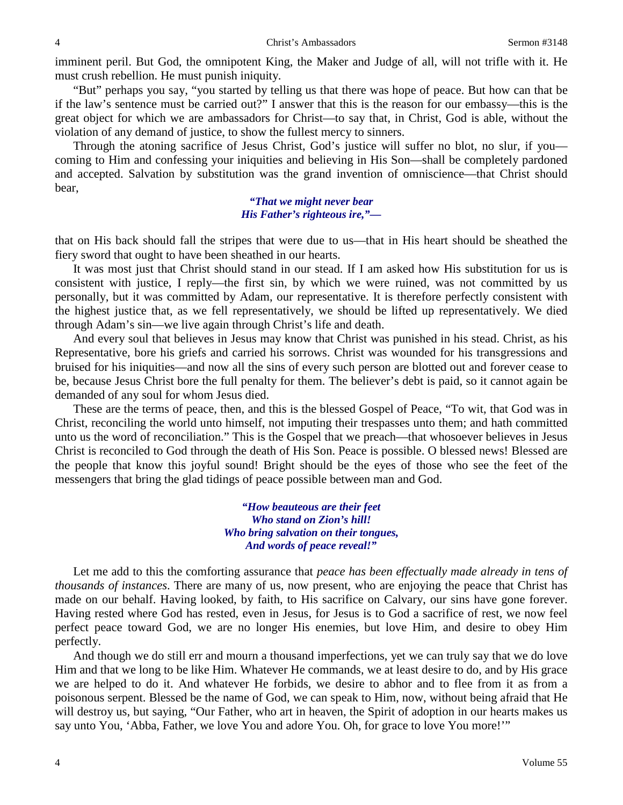imminent peril. But God, the omnipotent King, the Maker and Judge of all, will not trifle with it. He must crush rebellion. He must punish iniquity.

"But" perhaps you say, "you started by telling us that there was hope of peace. But how can that be if the law's sentence must be carried out?" I answer that this is the reason for our embassy—this is the great object for which we are ambassadors for Christ—to say that, in Christ, God is able, without the violation of any demand of justice, to show the fullest mercy to sinners.

Through the atoning sacrifice of Jesus Christ, God's justice will suffer no blot, no slur, if you coming to Him and confessing your iniquities and believing in His Son—shall be completely pardoned and accepted. Salvation by substitution was the grand invention of omniscience—that Christ should bear,

#### *"That we might never bear His Father's righteous ire,"—*

that on His back should fall the stripes that were due to us—that in His heart should be sheathed the fiery sword that ought to have been sheathed in our hearts.

It was most just that Christ should stand in our stead. If I am asked how His substitution for us is consistent with justice, I reply—the first sin, by which we were ruined, was not committed by us personally, but it was committed by Adam, our representative. It is therefore perfectly consistent with the highest justice that, as we fell representatively, we should be lifted up representatively. We died through Adam's sin—we live again through Christ's life and death.

And every soul that believes in Jesus may know that Christ was punished in his stead. Christ, as his Representative, bore his griefs and carried his sorrows. Christ was wounded for his transgressions and bruised for his iniquities—and now all the sins of every such person are blotted out and forever cease to be, because Jesus Christ bore the full penalty for them. The believer's debt is paid, so it cannot again be demanded of any soul for whom Jesus died.

These are the terms of peace, then, and this is the blessed Gospel of Peace, "To wit, that God was in Christ, reconciling the world unto himself, not imputing their trespasses unto them; and hath committed unto us the word of reconciliation." This is the Gospel that we preach—that whosoever believes in Jesus Christ is reconciled to God through the death of His Son. Peace is possible. O blessed news! Blessed are the people that know this joyful sound! Bright should be the eyes of those who see the feet of the messengers that bring the glad tidings of peace possible between man and God.

> *"How beauteous are their feet Who stand on Zion's hill! Who bring salvation on their tongues, And words of peace reveal!"*

Let me add to this the comforting assurance that *peace has been effectually made already in tens of thousands of instances*. There are many of us, now present, who are enjoying the peace that Christ has made on our behalf. Having looked, by faith, to His sacrifice on Calvary, our sins have gone forever. Having rested where God has rested, even in Jesus, for Jesus is to God a sacrifice of rest, we now feel perfect peace toward God, we are no longer His enemies, but love Him, and desire to obey Him perfectly.

And though we do still err and mourn a thousand imperfections, yet we can truly say that we do love Him and that we long to be like Him. Whatever He commands, we at least desire to do, and by His grace we are helped to do it. And whatever He forbids, we desire to abhor and to flee from it as from a poisonous serpent. Blessed be the name of God, we can speak to Him, now, without being afraid that He will destroy us, but saying, "Our Father, who art in heaven, the Spirit of adoption in our hearts makes us say unto You, 'Abba, Father, we love You and adore You. Oh, for grace to love You more!'"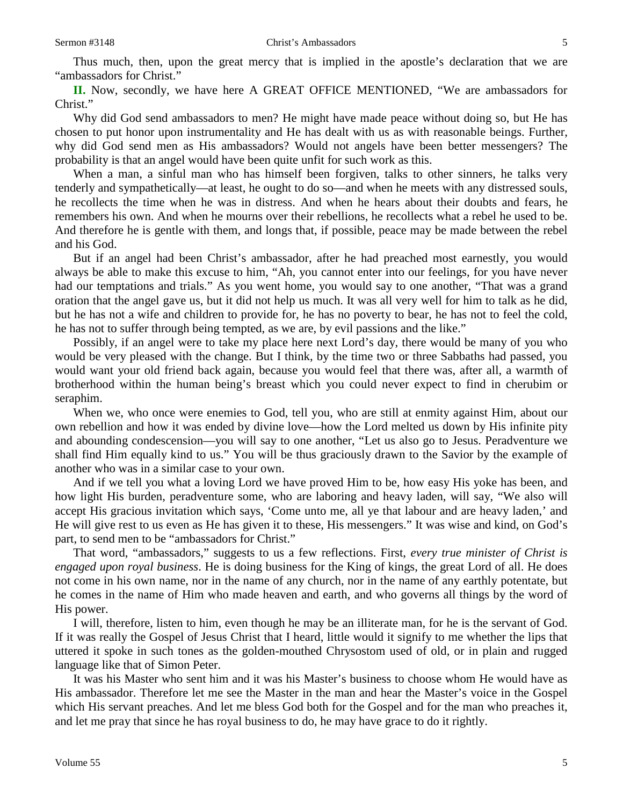Thus much, then, upon the great mercy that is implied in the apostle's declaration that we are "ambassadors for Christ."

**II.** Now, secondly, we have here A GREAT OFFICE MENTIONED, "We are ambassadors for Christ."

Why did God send ambassadors to men? He might have made peace without doing so, but He has chosen to put honor upon instrumentality and He has dealt with us as with reasonable beings. Further, why did God send men as His ambassadors? Would not angels have been better messengers? The probability is that an angel would have been quite unfit for such work as this.

When a man, a sinful man who has himself been forgiven, talks to other sinners, he talks very tenderly and sympathetically—at least, he ought to do so—and when he meets with any distressed souls, he recollects the time when he was in distress. And when he hears about their doubts and fears, he remembers his own. And when he mourns over their rebellions, he recollects what a rebel he used to be. And therefore he is gentle with them, and longs that, if possible, peace may be made between the rebel and his God.

But if an angel had been Christ's ambassador, after he had preached most earnestly, you would always be able to make this excuse to him, "Ah, you cannot enter into our feelings, for you have never had our temptations and trials." As you went home, you would say to one another, "That was a grand oration that the angel gave us, but it did not help us much. It was all very well for him to talk as he did, but he has not a wife and children to provide for, he has no poverty to bear, he has not to feel the cold, he has not to suffer through being tempted, as we are, by evil passions and the like."

Possibly, if an angel were to take my place here next Lord's day, there would be many of you who would be very pleased with the change. But I think, by the time two or three Sabbaths had passed, you would want your old friend back again, because you would feel that there was, after all, a warmth of brotherhood within the human being's breast which you could never expect to find in cherubim or seraphim.

When we, who once were enemies to God, tell you, who are still at enmity against Him, about our own rebellion and how it was ended by divine love—how the Lord melted us down by His infinite pity and abounding condescension—you will say to one another, "Let us also go to Jesus. Peradventure we shall find Him equally kind to us." You will be thus graciously drawn to the Savior by the example of another who was in a similar case to your own.

And if we tell you what a loving Lord we have proved Him to be, how easy His yoke has been, and how light His burden, peradventure some, who are laboring and heavy laden, will say, "We also will accept His gracious invitation which says, 'Come unto me, all ye that labour and are heavy laden,' and He will give rest to us even as He has given it to these, His messengers." It was wise and kind, on God's part, to send men to be "ambassadors for Christ."

That word, "ambassadors," suggests to us a few reflections. First, *every true minister of Christ is engaged upon royal business*. He is doing business for the King of kings, the great Lord of all. He does not come in his own name, nor in the name of any church, nor in the name of any earthly potentate, but he comes in the name of Him who made heaven and earth, and who governs all things by the word of His power.

I will, therefore, listen to him, even though he may be an illiterate man, for he is the servant of God. If it was really the Gospel of Jesus Christ that I heard, little would it signify to me whether the lips that uttered it spoke in such tones as the golden-mouthed Chrysostom used of old, or in plain and rugged language like that of Simon Peter.

It was his Master who sent him and it was his Master's business to choose whom He would have as His ambassador. Therefore let me see the Master in the man and hear the Master's voice in the Gospel which His servant preaches. And let me bless God both for the Gospel and for the man who preaches it, and let me pray that since he has royal business to do, he may have grace to do it rightly.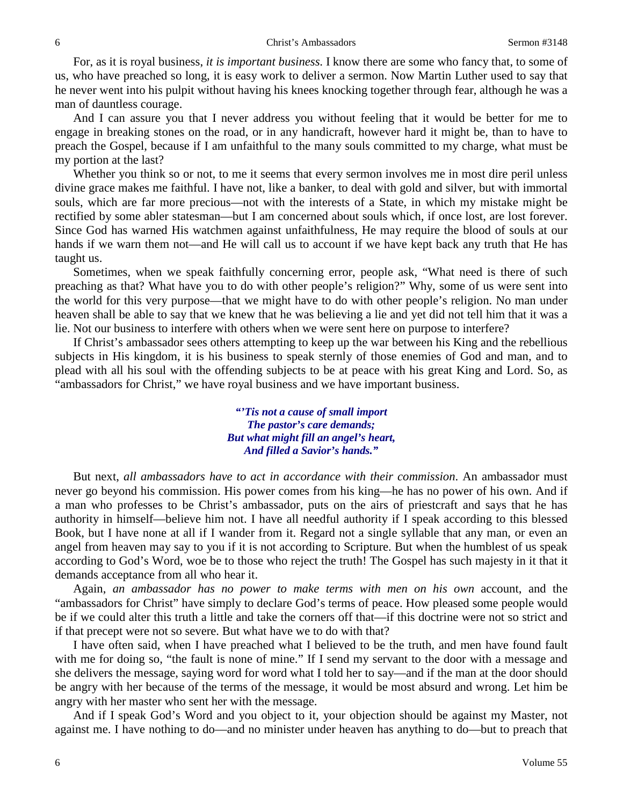For, as it is royal business, *it is important business*. I know there are some who fancy that, to some of us, who have preached so long, it is easy work to deliver a sermon. Now Martin Luther used to say that he never went into his pulpit without having his knees knocking together through fear, although he was a man of dauntless courage.

And I can assure you that I never address you without feeling that it would be better for me to engage in breaking stones on the road, or in any handicraft, however hard it might be, than to have to preach the Gospel, because if I am unfaithful to the many souls committed to my charge, what must be my portion at the last?

Whether you think so or not, to me it seems that every sermon involves me in most dire peril unless divine grace makes me faithful. I have not, like a banker, to deal with gold and silver, but with immortal souls, which are far more precious—not with the interests of a State, in which my mistake might be rectified by some abler statesman—but I am concerned about souls which, if once lost, are lost forever. Since God has warned His watchmen against unfaithfulness, He may require the blood of souls at our hands if we warn them not—and He will call us to account if we have kept back any truth that He has taught us.

Sometimes, when we speak faithfully concerning error, people ask, "What need is there of such preaching as that? What have you to do with other people's religion?" Why, some of us were sent into the world for this very purpose—that we might have to do with other people's religion. No man under heaven shall be able to say that we knew that he was believing a lie and yet did not tell him that it was a lie. Not our business to interfere with others when we were sent here on purpose to interfere?

If Christ's ambassador sees others attempting to keep up the war between his King and the rebellious subjects in His kingdom, it is his business to speak sternly of those enemies of God and man, and to plead with all his soul with the offending subjects to be at peace with his great King and Lord. So, as "ambassadors for Christ," we have royal business and we have important business.

> *"'Tis not a cause of small import The pastor's care demands; But what might fill an angel's heart, And filled a Savior's hands."*

But next, *all ambassadors have to act in accordance with their commission*. An ambassador must never go beyond his commission. His power comes from his king—he has no power of his own. And if a man who professes to be Christ's ambassador, puts on the airs of priestcraft and says that he has authority in himself—believe him not. I have all needful authority if I speak according to this blessed Book, but I have none at all if I wander from it. Regard not a single syllable that any man, or even an angel from heaven may say to you if it is not according to Scripture. But when the humblest of us speak according to God's Word, woe be to those who reject the truth! The Gospel has such majesty in it that it demands acceptance from all who hear it.

Again, *an ambassador has no power to make terms with men on his own* account, and the "ambassadors for Christ" have simply to declare God's terms of peace. How pleased some people would be if we could alter this truth a little and take the corners off that—if this doctrine were not so strict and if that precept were not so severe. But what have we to do with that?

I have often said, when I have preached what I believed to be the truth, and men have found fault with me for doing so, "the fault is none of mine." If I send my servant to the door with a message and she delivers the message, saying word for word what I told her to say—and if the man at the door should be angry with her because of the terms of the message, it would be most absurd and wrong. Let him be angry with her master who sent her with the message.

And if I speak God's Word and you object to it, your objection should be against my Master, not against me. I have nothing to do—and no minister under heaven has anything to do—but to preach that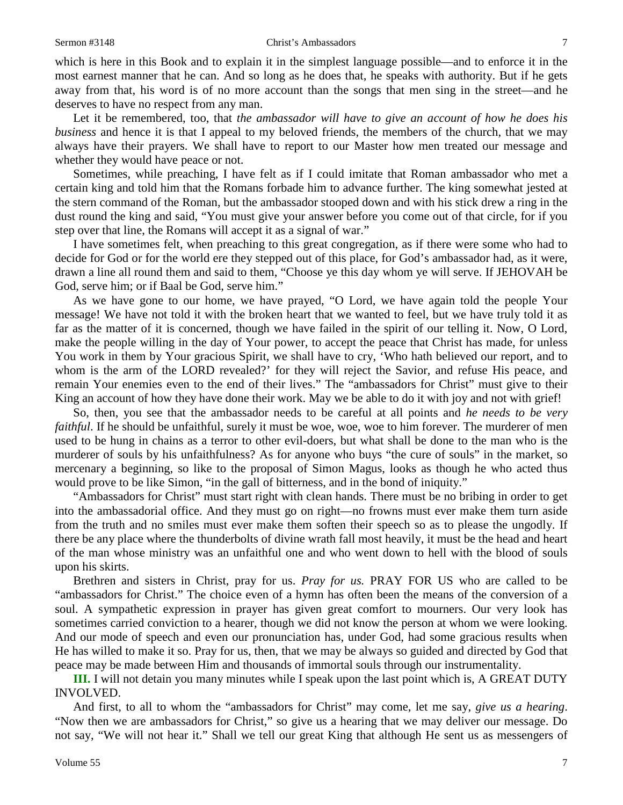#### Sermon #3148 **Christ's Ambassadors** 7

which is here in this Book and to explain it in the simplest language possible—and to enforce it in the most earnest manner that he can. And so long as he does that, he speaks with authority. But if he gets away from that, his word is of no more account than the songs that men sing in the street—and he deserves to have no respect from any man.

Let it be remembered, too, that *the ambassador will have to give an account of how he does his business* and hence it is that I appeal to my beloved friends, the members of the church, that we may always have their prayers. We shall have to report to our Master how men treated our message and whether they would have peace or not.

Sometimes, while preaching, I have felt as if I could imitate that Roman ambassador who met a certain king and told him that the Romans forbade him to advance further. The king somewhat jested at the stern command of the Roman, but the ambassador stooped down and with his stick drew a ring in the dust round the king and said, "You must give your answer before you come out of that circle, for if you step over that line, the Romans will accept it as a signal of war."

I have sometimes felt, when preaching to this great congregation, as if there were some who had to decide for God or for the world ere they stepped out of this place, for God's ambassador had, as it were, drawn a line all round them and said to them, "Choose ye this day whom ye will serve. If JEHOVAH be God, serve him; or if Baal be God, serve him."

As we have gone to our home, we have prayed, "O Lord, we have again told the people Your message! We have not told it with the broken heart that we wanted to feel, but we have truly told it as far as the matter of it is concerned, though we have failed in the spirit of our telling it. Now, O Lord, make the people willing in the day of Your power, to accept the peace that Christ has made, for unless You work in them by Your gracious Spirit, we shall have to cry, 'Who hath believed our report, and to whom is the arm of the LORD revealed?' for they will reject the Savior, and refuse His peace, and remain Your enemies even to the end of their lives." The "ambassadors for Christ" must give to their King an account of how they have done their work. May we be able to do it with joy and not with grief!

So, then, you see that the ambassador needs to be careful at all points and *he needs to be very faithful*. If he should be unfaithful, surely it must be woe, woe, woe to him forever. The murderer of men used to be hung in chains as a terror to other evil-doers, but what shall be done to the man who is the murderer of souls by his unfaithfulness? As for anyone who buys "the cure of souls" in the market, so mercenary a beginning, so like to the proposal of Simon Magus, looks as though he who acted thus would prove to be like Simon, "in the gall of bitterness, and in the bond of iniquity."

"Ambassadors for Christ" must start right with clean hands. There must be no bribing in order to get into the ambassadorial office. And they must go on right—no frowns must ever make them turn aside from the truth and no smiles must ever make them soften their speech so as to please the ungodly. If there be any place where the thunderbolts of divine wrath fall most heavily, it must be the head and heart of the man whose ministry was an unfaithful one and who went down to hell with the blood of souls upon his skirts.

Brethren and sisters in Christ, pray for us. *Pray for us.* PRAY FOR US who are called to be "ambassadors for Christ." The choice even of a hymn has often been the means of the conversion of a soul. A sympathetic expression in prayer has given great comfort to mourners. Our very look has sometimes carried conviction to a hearer, though we did not know the person at whom we were looking. And our mode of speech and even our pronunciation has, under God, had some gracious results when He has willed to make it so. Pray for us, then, that we may be always so guided and directed by God that peace may be made between Him and thousands of immortal souls through our instrumentality.

**III.** I will not detain you many minutes while I speak upon the last point which is, A GREAT DUTY INVOLVED.

And first, to all to whom the "ambassadors for Christ" may come, let me say, *give us a hearing*. "Now then we are ambassadors for Christ," so give us a hearing that we may deliver our message. Do not say, "We will not hear it." Shall we tell our great King that although He sent us as messengers of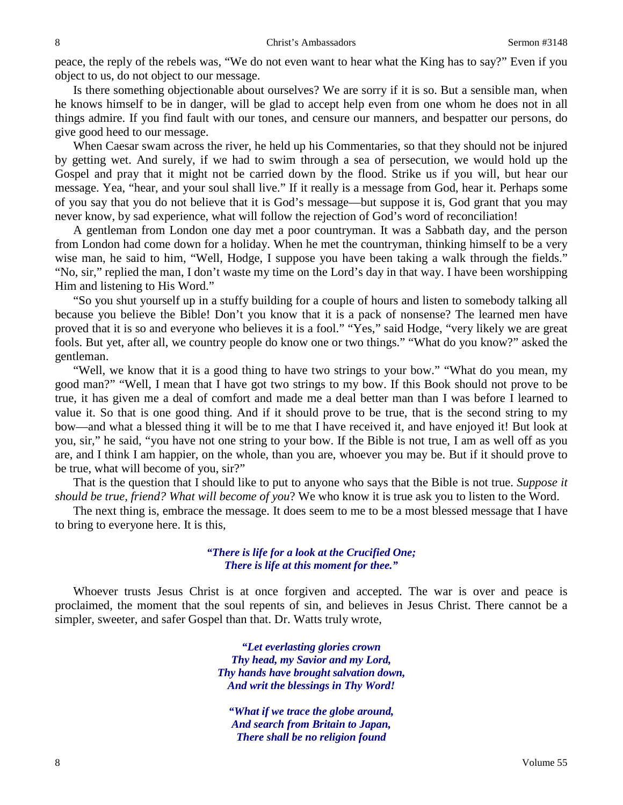peace, the reply of the rebels was, "We do not even want to hear what the King has to say?" Even if you object to us, do not object to our message.

Is there something objectionable about ourselves? We are sorry if it is so. But a sensible man, when he knows himself to be in danger, will be glad to accept help even from one whom he does not in all things admire. If you find fault with our tones, and censure our manners, and bespatter our persons, do give good heed to our message.

When Caesar swam across the river, he held up his Commentaries, so that they should not be injured by getting wet. And surely, if we had to swim through a sea of persecution, we would hold up the Gospel and pray that it might not be carried down by the flood. Strike us if you will, but hear our message. Yea, "hear, and your soul shall live." If it really is a message from God, hear it. Perhaps some of you say that you do not believe that it is God's message—but suppose it is, God grant that you may never know, by sad experience, what will follow the rejection of God's word of reconciliation!

A gentleman from London one day met a poor countryman. It was a Sabbath day, and the person from London had come down for a holiday. When he met the countryman, thinking himself to be a very wise man, he said to him, "Well, Hodge, I suppose you have been taking a walk through the fields." "No, sir," replied the man, I don't waste my time on the Lord's day in that way. I have been worshipping Him and listening to His Word."

"So you shut yourself up in a stuffy building for a couple of hours and listen to somebody talking all because you believe the Bible! Don't you know that it is a pack of nonsense? The learned men have proved that it is so and everyone who believes it is a fool." "Yes," said Hodge, "very likely we are great fools. But yet, after all, we country people do know one or two things." "What do you know?" asked the gentleman.

"Well, we know that it is a good thing to have two strings to your bow." "What do you mean, my good man?" "Well, I mean that I have got two strings to my bow. If this Book should not prove to be true, it has given me a deal of comfort and made me a deal better man than I was before I learned to value it. So that is one good thing. And if it should prove to be true, that is the second string to my bow—and what a blessed thing it will be to me that I have received it, and have enjoyed it! But look at you, sir," he said, "you have not one string to your bow. If the Bible is not true, I am as well off as you are, and I think I am happier, on the whole, than you are, whoever you may be. But if it should prove to be true, what will become of you, sir?"

That is the question that I should like to put to anyone who says that the Bible is not true. *Suppose it should be true, friend? What will become of you*? We who know it is true ask you to listen to the Word.

The next thing is, embrace the message. It does seem to me to be a most blessed message that I have to bring to everyone here. It is this,

### *"There is life for a look at the Crucified One; There is life at this moment for thee."*

Whoever trusts Jesus Christ is at once forgiven and accepted. The war is over and peace is proclaimed, the moment that the soul repents of sin, and believes in Jesus Christ. There cannot be a simpler, sweeter, and safer Gospel than that. Dr. Watts truly wrote,

> *"Let everlasting glories crown Thy head, my Savior and my Lord, Thy hands have brought salvation down, And writ the blessings in Thy Word!*

*"What if we trace the globe around, And search from Britain to Japan, There shall be no religion found*